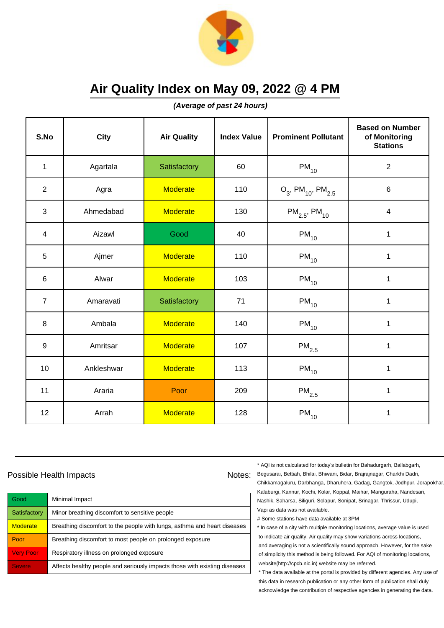

**(Average of past 24 hours)**

| S.No             | <b>City</b> | <b>Air Quality</b> | <b>Index Value</b> | <b>Prominent Pollutant</b>                   | <b>Based on Number</b><br>of Monitoring<br><b>Stations</b> |
|------------------|-------------|--------------------|--------------------|----------------------------------------------|------------------------------------------------------------|
| $\mathbf{1}$     | Agartala    | Satisfactory       | 60                 | $PM_{10}$                                    | $\sqrt{2}$                                                 |
| $\overline{2}$   | Agra        | <b>Moderate</b>    | 110                | $O_3$ , PM <sub>10</sub> , PM <sub>2.5</sub> | $\,6$                                                      |
| $\mathfrak{S}$   | Ahmedabad   | <b>Moderate</b>    | 130                | $PM_{2.5}$ , PM <sub>10</sub>                | $\overline{\mathbf{4}}$                                    |
| 4                | Aizawl      | Good               | 40                 | $PM_{10}$                                    | 1                                                          |
| 5                | Ajmer       | <b>Moderate</b>    | 110                | $PM_{10}$                                    | 1                                                          |
| $\,6\,$          | Alwar       | <b>Moderate</b>    | 103                | $PM_{10}$                                    | 1                                                          |
| $\overline{7}$   | Amaravati   | Satisfactory       | 71                 | $PM_{10}$                                    | 1                                                          |
| 8                | Ambala      | <b>Moderate</b>    | 140                | $PM_{10}$                                    | 1                                                          |
| $\boldsymbol{9}$ | Amritsar    | <b>Moderate</b>    | 107                | $\mathsf{PM}_{2.5}$                          | $\mathbf{1}$                                               |
| 10               | Ankleshwar  | <b>Moderate</b>    | 113                | $PM_{10}$                                    | 1                                                          |
| 11               | Araria      | Poor               | 209                | $\mathsf{PM}_{2.5}$                          | 1                                                          |
| 12               | Arrah       | <b>Moderate</b>    | 128                | $PM_{10}$                                    | 1                                                          |

### Possible Health Impacts

| Good             | Minimal Impact                                                            |
|------------------|---------------------------------------------------------------------------|
| Satisfactory     | Minor breathing discomfort to sensitive people                            |
| <b>Moderate</b>  | Breathing discomfort to the people with lungs, asthma and heart diseases  |
| Poor             | Breathing discomfort to most people on prolonged exposure                 |
| <b>Very Poor</b> | Respiratory illness on prolonged exposure                                 |
| <b>Severe</b>    | Affects healthy people and seriously impacts those with existing diseases |

\* AQI is not calculated for today's bulletin for Bahadurgarh, Ballabgarh,

Notes: Begusarai, Bettiah, Bhilai, Bhiwani, Bidar, Brajrajnagar, Charkhi Dadri, Chikkamagaluru, Darbhanga, Dharuhera, Gadag, Gangtok, Jodhpur, Jorapokhar, Kalaburgi, Kannur, Kochi, Kolar, Koppal, Maihar, Manguraha, Nandesari, Nashik, Saharsa, Siliguri, Solapur, Sonipat, Srinagar, Thrissur, Udupi, Vapi as data was not available.

# Some stations have data available at 3PM

\* In case of a city with multiple monitoring locations, average value is used to indicate air quality. Air quality may show variations across locations, and averaging is not a scientifically sound approach. However, for the sake of simplicity this method is being followed. For AQI of monitoring locations, website(http://cpcb.nic.in) website may be referred.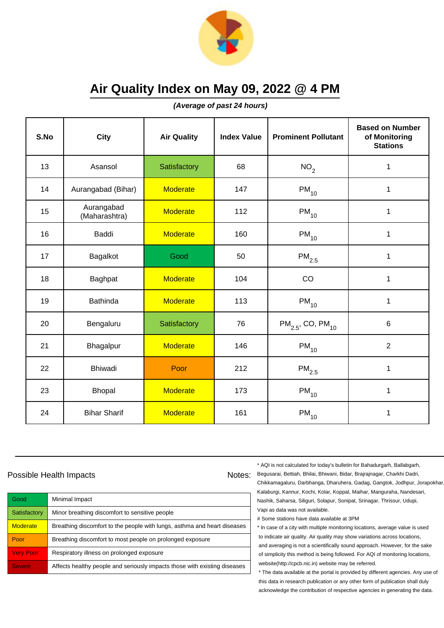

**(Average of past 24 hours)**

| S.No | City                        | <b>Air Quality</b> | <b>Index Value</b> | <b>Prominent Pollutant</b>        | <b>Based on Number</b><br>of Monitoring<br><b>Stations</b> |
|------|-----------------------------|--------------------|--------------------|-----------------------------------|------------------------------------------------------------|
| 13   | Asansol                     | Satisfactory       | 68                 | NO <sub>2</sub>                   | $\mathbf{1}$                                               |
| 14   | Aurangabad (Bihar)          | <b>Moderate</b>    | 147                | $PM_{10}$                         | 1                                                          |
| 15   | Aurangabad<br>(Maharashtra) | <b>Moderate</b>    | 112                | $PM_{10}$                         | $\mathbf{1}$                                               |
| 16   | Baddi                       | <b>Moderate</b>    | 160                | $PM_{10}$                         | $\mathbf{1}$                                               |
| 17   | Bagalkot                    | Good               | 50                 | $PM_{2.5}$                        | $\mathbf{1}$                                               |
| 18   | Baghpat                     | <b>Moderate</b>    | 104                | CO                                | $\mathbf{1}$                                               |
| 19   | <b>Bathinda</b>             | <b>Moderate</b>    | 113                | $PM_{10}$                         | 1                                                          |
| 20   | Bengaluru                   | Satisfactory       | 76                 | $PM_{2.5}$ , CO, PM <sub>10</sub> | $6\phantom{1}$                                             |
| 21   | Bhagalpur                   | <b>Moderate</b>    | 146                | $PM_{10}$                         | $\overline{2}$                                             |
| 22   | Bhiwadi                     | Poor               | 212                | $\mathsf{PM}_{2.5}$               | $\mathbf{1}$                                               |
| 23   | <b>Bhopal</b>               | <b>Moderate</b>    | 173                | $PM_{10}$                         | $\mathbf{1}$                                               |
| 24   | <b>Bihar Sharif</b>         | <b>Moderate</b>    | 161                | $PM_{10}$                         | $\mathbf{1}$                                               |

### Possible Health Impacts

| Good             | Minimal Impact                                                            |
|------------------|---------------------------------------------------------------------------|
| Satisfactory     | Minor breathing discomfort to sensitive people                            |
| <b>Moderate</b>  | Breathing discomfort to the people with lungs, asthma and heart diseases  |
| Poor             | Breathing discomfort to most people on prolonged exposure                 |
| <b>Very Poor</b> | Respiratory illness on prolonged exposure                                 |
| <b>Severe</b>    | Affects healthy people and seriously impacts those with existing diseases |

\* AQI is not calculated for today's bulletin for Bahadurgarh, Ballabgarh,

Notes: Begusarai, Bettiah, Bhilai, Bhiwani, Bidar, Brajrajnagar, Charkhi Dadri, Chikkamagaluru, Darbhanga, Dharuhera, Gadag, Gangtok, Jodhpur, Jorapokhar, Kalaburgi, Kannur, Kochi, Kolar, Koppal, Maihar, Manguraha, Nandesari, Nashik, Saharsa, Siliguri, Solapur, Sonipat, Srinagar, Thrissur, Udupi, Vapi as data was not available.

# Some stations have data available at 3PM

\* In case of a city with multiple monitoring locations, average value is used to indicate air quality. Air quality may show variations across locations, and averaging is not a scientifically sound approach. However, for the sake of simplicity this method is being followed. For AQI of monitoring locations, website(http://cpcb.nic.in) website may be referred.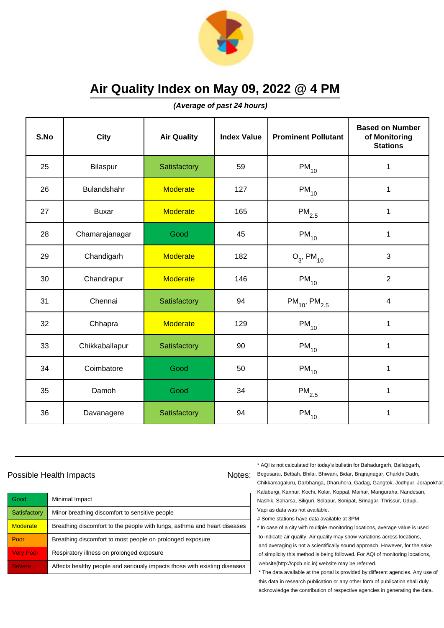

**(Average of past 24 hours)**

| S.No | City           | <b>Air Quality</b> | <b>Index Value</b> | <b>Prominent Pollutant</b>    | <b>Based on Number</b><br>of Monitoring<br><b>Stations</b> |
|------|----------------|--------------------|--------------------|-------------------------------|------------------------------------------------------------|
| 25   | Bilaspur       | Satisfactory       | 59                 | $PM_{10}$                     | 1                                                          |
| 26   | Bulandshahr    | <b>Moderate</b>    | 127                | $PM_{10}$                     | 1                                                          |
| 27   | <b>Buxar</b>   | <b>Moderate</b>    | 165                | $\mathsf{PM}_{2.5}$           | 1                                                          |
| 28   | Chamarajanagar | Good               | 45                 | $PM_{10}$                     | $\mathbf{1}$                                               |
| 29   | Chandigarh     | <b>Moderate</b>    | 182                | $O_3$ , PM <sub>10</sub>      | 3                                                          |
| 30   | Chandrapur     | <b>Moderate</b>    | 146                | $PM_{10}$                     | $\overline{2}$                                             |
| 31   | Chennai        | Satisfactory       | 94                 | $PM_{10}$ , PM <sub>2.5</sub> | $\overline{\mathbf{4}}$                                    |
| 32   | Chhapra        | <b>Moderate</b>    | 129                | $PM_{10}$                     | 1                                                          |
| 33   | Chikkaballapur | Satisfactory       | 90                 | $PM_{10}$                     | $\mathbf{1}$                                               |
| 34   | Coimbatore     | Good               | 50                 | $PM_{10}$                     | $\mathbf{1}$                                               |
| 35   | Damoh          | Good               | 34                 | $\mathsf{PM}_{2.5}$           | 1                                                          |
| 36   | Davanagere     | Satisfactory       | 94                 | $PM_{10}$                     | 1                                                          |

### Possible Health Impacts

| Good                | Minimal Impact                                                            |
|---------------------|---------------------------------------------------------------------------|
| Satisfactory        | Minor breathing discomfort to sensitive people                            |
| <b>Moderate</b>     | Breathing discomfort to the people with lungs, asthma and heart diseases  |
| Poor                | Breathing discomfort to most people on prolonged exposure                 |
| <b>Very Poor</b>    | Respiratory illness on prolonged exposure                                 |
| Severe <sup>'</sup> | Affects healthy people and seriously impacts those with existing diseases |

\* AQI is not calculated for today's bulletin for Bahadurgarh, Ballabgarh,

Notes: Begusarai, Bettiah, Bhilai, Bhiwani, Bidar, Brajrajnagar, Charkhi Dadri, Chikkamagaluru, Darbhanga, Dharuhera, Gadag, Gangtok, Jodhpur, Jorapokhar, Kalaburgi, Kannur, Kochi, Kolar, Koppal, Maihar, Manguraha, Nandesari, Nashik, Saharsa, Siliguri, Solapur, Sonipat, Srinagar, Thrissur, Udupi, Vapi as data was not available.

# Some stations have data available at 3PM

\* In case of a city with multiple monitoring locations, average value is used to indicate air quality. Air quality may show variations across locations, and averaging is not a scientifically sound approach. However, for the sake of simplicity this method is being followed. For AQI of monitoring locations, website(http://cpcb.nic.in) website may be referred.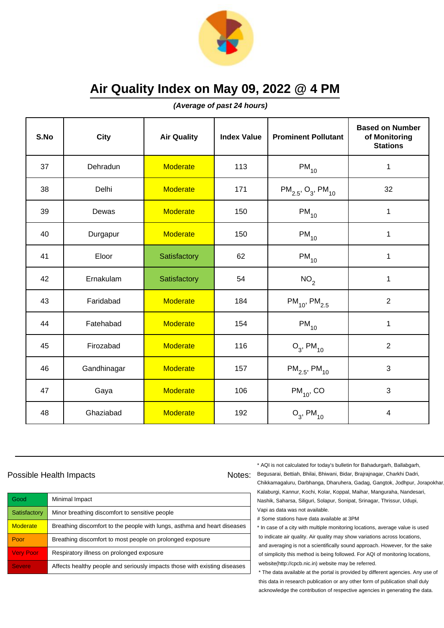

**(Average of past 24 hours)**

| S.No | <b>City</b> | <b>Air Quality</b> | <b>Index Value</b> | <b>Prominent Pollutant</b>                     | <b>Based on Number</b><br>of Monitoring<br><b>Stations</b> |
|------|-------------|--------------------|--------------------|------------------------------------------------|------------------------------------------------------------|
| 37   | Dehradun    | <b>Moderate</b>    | 113                | $PM_{10}$                                      | $\mathbf 1$                                                |
| 38   | Delhi       | <b>Moderate</b>    | 171                | $PM_{2.5}$ , O <sub>3</sub> , PM <sub>10</sub> | 32                                                         |
| 39   | Dewas       | <b>Moderate</b>    | 150                | $PM_{10}$                                      | $\mathbf 1$                                                |
| 40   | Durgapur    | <b>Moderate</b>    | 150                | $PM_{10}$                                      | 1                                                          |
| 41   | Eloor       | Satisfactory       | 62                 | $PM_{10}$                                      | $\mathbf 1$                                                |
| 42   | Ernakulam   | Satisfactory       | 54                 | NO <sub>2</sub>                                | 1                                                          |
| 43   | Faridabad   | <b>Moderate</b>    | 184                | $PM_{10}$ , PM <sub>2.5</sub>                  | $\overline{2}$                                             |
| 44   | Fatehabad   | <b>Moderate</b>    | 154                | $PM_{10}$                                      | $\mathbf{1}$                                               |
| 45   | Firozabad   | <b>Moderate</b>    | 116                | $O_3$ , PM <sub>10</sub>                       | $\overline{2}$                                             |
| 46   | Gandhinagar | <b>Moderate</b>    | 157                | $PM_{2.5}$ , PM <sub>10</sub>                  | 3                                                          |
| 47   | Gaya        | <b>Moderate</b>    | 106                | $PM_{10}$ , CO                                 | 3                                                          |
| 48   | Ghaziabad   | <b>Moderate</b>    | 192                | $O_3$ , PM <sub>10</sub>                       | $\overline{\mathbf{4}}$                                    |

### Possible Health Impacts

| Good             | Minimal Impact                                                            |
|------------------|---------------------------------------------------------------------------|
| Satisfactory     | Minor breathing discomfort to sensitive people                            |
| <b>Moderate</b>  | Breathing discomfort to the people with lungs, asthma and heart diseases  |
| Poor             | Breathing discomfort to most people on prolonged exposure                 |
| <b>Very Poor</b> | Respiratory illness on prolonged exposure                                 |
| <b>Severe</b>    | Affects healthy people and seriously impacts those with existing diseases |

\* AQI is not calculated for today's bulletin for Bahadurgarh, Ballabgarh,

Notes: Begusarai, Bettiah, Bhilai, Bhiwani, Bidar, Brajrajnagar, Charkhi Dadri, Chikkamagaluru, Darbhanga, Dharuhera, Gadag, Gangtok, Jodhpur, Jorapokhar, Kalaburgi, Kannur, Kochi, Kolar, Koppal, Maihar, Manguraha, Nandesari, Nashik, Saharsa, Siliguri, Solapur, Sonipat, Srinagar, Thrissur, Udupi, Vapi as data was not available.

# Some stations have data available at 3PM

\* In case of a city with multiple monitoring locations, average value is used to indicate air quality. Air quality may show variations across locations, and averaging is not a scientifically sound approach. However, for the sake of simplicity this method is being followed. For AQI of monitoring locations, website(http://cpcb.nic.in) website may be referred.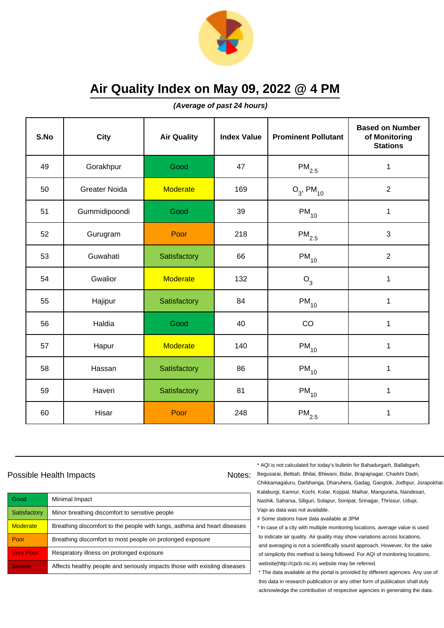

**(Average of past 24 hours)**

| S.No | <b>City</b>          | <b>Air Quality</b> | <b>Index Value</b> | <b>Prominent Pollutant</b> | <b>Based on Number</b><br>of Monitoring<br><b>Stations</b> |
|------|----------------------|--------------------|--------------------|----------------------------|------------------------------------------------------------|
| 49   | Gorakhpur            | Good               | 47                 | $\mathsf{PM}_{2.5}$        | $\mathbf{1}$                                               |
| 50   | <b>Greater Noida</b> | <b>Moderate</b>    | 169                | $O_3$ , PM <sub>10</sub>   | $\overline{2}$                                             |
| 51   | Gummidipoondi        | Good               | 39                 | $PM_{10}$                  | $\mathbf{1}$                                               |
| 52   | Gurugram             | Poor               | 218                | $\mathsf{PM}_{2.5}$        | 3                                                          |
| 53   | Guwahati             | Satisfactory       | 66                 | $PM_{10}$                  | $\overline{c}$                                             |
| 54   | Gwalior              | <b>Moderate</b>    | 132                | $O_3$                      | 1                                                          |
| 55   | Hajipur              | Satisfactory       | 84                 | $PM_{10}$                  | $\mathbf{1}$                                               |
| 56   | Haldia               | Good               | 40                 | CO                         | 1                                                          |
| 57   | Hapur                | <b>Moderate</b>    | 140                | $PM_{10}$                  | $\mathbf{1}$                                               |
| 58   | Hassan               | Satisfactory       | 86                 | $PM_{10}$                  | $\mathbf{1}$                                               |
| 59   | Haveri               | Satisfactory       | 81                 | $PM_{10}$                  | $\mathbf{1}$                                               |
| 60   | Hisar                | Poor               | 248                | $\mathsf{PM}_{2.5}$        | 1                                                          |

### Possible Health Impacts

| Good             | Minimal Impact                                                            |
|------------------|---------------------------------------------------------------------------|
| Satisfactory     | Minor breathing discomfort to sensitive people                            |
| <b>Moderate</b>  | Breathing discomfort to the people with lungs, asthma and heart diseases  |
| Poor             | Breathing discomfort to most people on prolonged exposure                 |
| <b>Very Poor</b> | Respiratory illness on prolonged exposure                                 |
| <b>Severe</b>    | Affects healthy people and seriously impacts those with existing diseases |

\* AQI is not calculated for today's bulletin for Bahadurgarh, Ballabgarh,

Notes: Begusarai, Bettiah, Bhilai, Bhiwani, Bidar, Brajrajnagar, Charkhi Dadri, Chikkamagaluru, Darbhanga, Dharuhera, Gadag, Gangtok, Jodhpur, Jorapokhar, Kalaburgi, Kannur, Kochi, Kolar, Koppal, Maihar, Manguraha, Nandesari, Nashik, Saharsa, Siliguri, Solapur, Sonipat, Srinagar, Thrissur, Udupi, Vapi as data was not available.

# Some stations have data available at 3PM

\* In case of a city with multiple monitoring locations, average value is used to indicate air quality. Air quality may show variations across locations, and averaging is not a scientifically sound approach. However, for the sake of simplicity this method is being followed. For AQI of monitoring locations, website(http://cpcb.nic.in) website may be referred.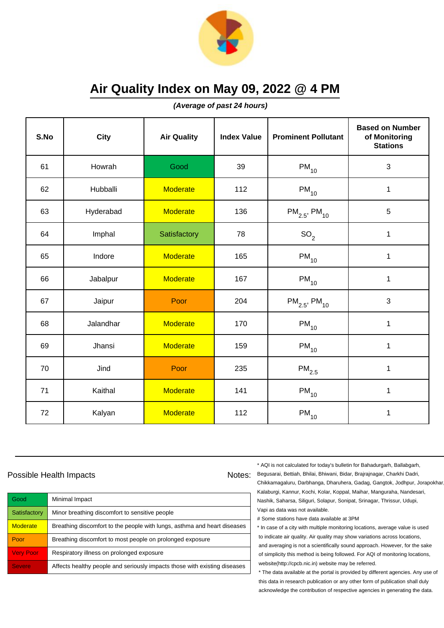

**(Average of past 24 hours)**

| S.No | <b>City</b> | <b>Air Quality</b> | <b>Index Value</b> | <b>Prominent Pollutant</b>    | <b>Based on Number</b><br>of Monitoring<br><b>Stations</b> |
|------|-------------|--------------------|--------------------|-------------------------------|------------------------------------------------------------|
| 61   | Howrah      | Good               | 39                 | $PM_{10}$                     | $\mathbf{3}$                                               |
| 62   | Hubballi    | <b>Moderate</b>    | 112                | $PM_{10}$                     | $\mathbf 1$                                                |
| 63   | Hyderabad   | <b>Moderate</b>    | 136                | $PM_{2.5}$ , PM <sub>10</sub> | 5                                                          |
| 64   | Imphal      | Satisfactory       | 78                 | SO <sub>2</sub>               | $\mathbf{1}$                                               |
| 65   | Indore      | <b>Moderate</b>    | 165                | $PM_{10}$                     | $\mathbf 1$                                                |
| 66   | Jabalpur    | <b>Moderate</b>    | 167                | $PM_{10}$                     | 1                                                          |
| 67   | Jaipur      | Poor               | 204                | $PM_{2.5}$ , PM <sub>10</sub> | 3                                                          |
| 68   | Jalandhar   | <b>Moderate</b>    | 170                | $PM_{10}$                     | $\mathbf{1}$                                               |
| 69   | Jhansi      | <b>Moderate</b>    | 159                | $PM_{10}$                     | $\mathbf 1$                                                |
| 70   | Jind        | Poor               | 235                | $PM_{2.5}$                    | $\mathbf 1$                                                |
| 71   | Kaithal     | <b>Moderate</b>    | 141                | $PM_{10}$                     | $\mathbf{1}$                                               |
| 72   | Kalyan      | <b>Moderate</b>    | 112                | $PM_{10}$                     | $\mathbf 1$                                                |

### Possible Health Impacts

| Good             | Minimal Impact                                                            |
|------------------|---------------------------------------------------------------------------|
| Satisfactory     | Minor breathing discomfort to sensitive people                            |
| <b>Moderate</b>  | Breathing discomfort to the people with lungs, asthma and heart diseases  |
| Poor             | Breathing discomfort to most people on prolonged exposure                 |
| <b>Very Poor</b> | Respiratory illness on prolonged exposure                                 |
| <b>Severe</b>    | Affects healthy people and seriously impacts those with existing diseases |

\* AQI is not calculated for today's bulletin for Bahadurgarh, Ballabgarh,

Notes: Begusarai, Bettiah, Bhilai, Bhiwani, Bidar, Brajrajnagar, Charkhi Dadri, Chikkamagaluru, Darbhanga, Dharuhera, Gadag, Gangtok, Jodhpur, Jorapokhar, Kalaburgi, Kannur, Kochi, Kolar, Koppal, Maihar, Manguraha, Nandesari, Nashik, Saharsa, Siliguri, Solapur, Sonipat, Srinagar, Thrissur, Udupi, Vapi as data was not available.

# Some stations have data available at 3PM

\* In case of a city with multiple monitoring locations, average value is used to indicate air quality. Air quality may show variations across locations, and averaging is not a scientifically sound approach. However, for the sake of simplicity this method is being followed. For AQI of monitoring locations, website(http://cpcb.nic.in) website may be referred.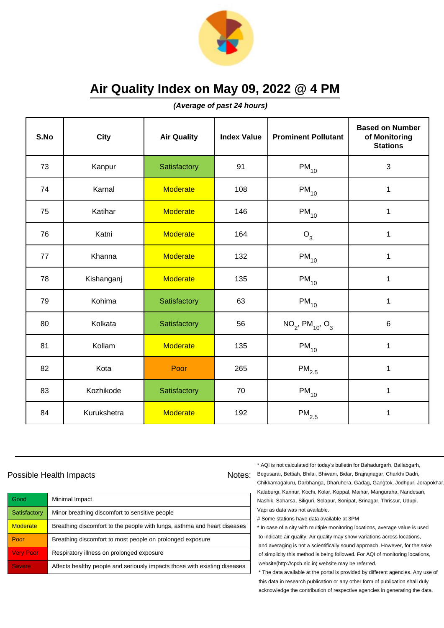

**(Average of past 24 hours)**

| S.No | <b>City</b> | <b>Air Quality</b> | <b>Index Value</b> | <b>Prominent Pollutant</b>                 | <b>Based on Number</b><br>of Monitoring<br><b>Stations</b> |
|------|-------------|--------------------|--------------------|--------------------------------------------|------------------------------------------------------------|
| 73   | Kanpur      | Satisfactory       | 91                 | $PM_{10}$                                  | 3                                                          |
| 74   | Karnal      | <b>Moderate</b>    | 108                | $PM_{10}$                                  | $\mathbf{1}$                                               |
| 75   | Katihar     | <b>Moderate</b>    | 146                | $PM_{10}$                                  | 1                                                          |
| 76   | Katni       | <b>Moderate</b>    | 164                | O <sub>3</sub>                             | 1                                                          |
| 77   | Khanna      | <b>Moderate</b>    | 132                | $PM_{10}$                                  | $\mathbf 1$                                                |
| 78   | Kishanganj  | <b>Moderate</b>    | 135                | $PM_{10}$                                  | 1                                                          |
| 79   | Kohima      | Satisfactory       | 63                 | $PM_{10}$                                  | 1                                                          |
| 80   | Kolkata     | Satisfactory       | 56                 | $NO_2$ , PM <sub>10</sub> , O <sub>3</sub> | 6                                                          |
| 81   | Kollam      | <b>Moderate</b>    | 135                | $PM_{10}$                                  | $\mathbf 1$                                                |
| 82   | Kota        | Poor               | 265                | $PM_{2.5}$                                 | 1                                                          |
| 83   | Kozhikode   | Satisfactory       | 70                 | $PM_{10}$                                  | $\mathbf{1}$                                               |
| 84   | Kurukshetra | <b>Moderate</b>    | 192                | $\mathsf{PM}_{2.5}$                        | $\mathbf 1$                                                |

### Possible Health Impacts

| Good             | Minimal Impact                                                            |
|------------------|---------------------------------------------------------------------------|
| Satisfactory     | Minor breathing discomfort to sensitive people                            |
| <b>Moderate</b>  | Breathing discomfort to the people with lungs, asthma and heart diseases  |
| Poor             | Breathing discomfort to most people on prolonged exposure                 |
| <b>Very Poor</b> | Respiratory illness on prolonged exposure                                 |
| <b>Severe</b>    | Affects healthy people and seriously impacts those with existing diseases |

\* AQI is not calculated for today's bulletin for Bahadurgarh, Ballabgarh,

Notes: Begusarai, Bettiah, Bhilai, Bhiwani, Bidar, Brajrajnagar, Charkhi Dadri, Chikkamagaluru, Darbhanga, Dharuhera, Gadag, Gangtok, Jodhpur, Jorapokhar, Kalaburgi, Kannur, Kochi, Kolar, Koppal, Maihar, Manguraha, Nandesari, Nashik, Saharsa, Siliguri, Solapur, Sonipat, Srinagar, Thrissur, Udupi, Vapi as data was not available.

# Some stations have data available at 3PM

\* In case of a city with multiple monitoring locations, average value is used to indicate air quality. Air quality may show variations across locations, and averaging is not a scientifically sound approach. However, for the sake of simplicity this method is being followed. For AQI of monitoring locations, website(http://cpcb.nic.in) website may be referred.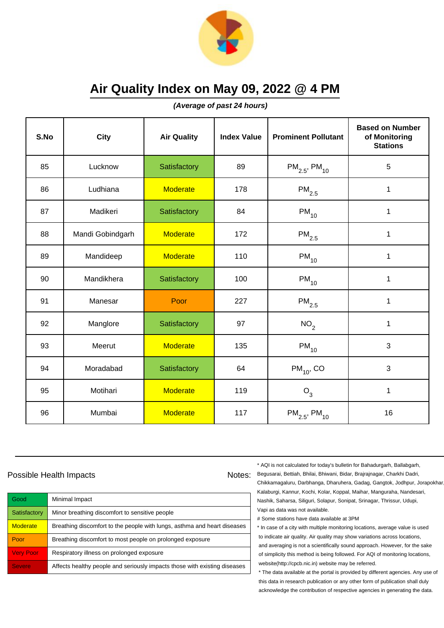

**(Average of past 24 hours)**

| S.No | <b>City</b>      | <b>Air Quality</b> | <b>Index Value</b> | <b>Prominent Pollutant</b>    | <b>Based on Number</b><br>of Monitoring<br><b>Stations</b> |
|------|------------------|--------------------|--------------------|-------------------------------|------------------------------------------------------------|
| 85   | Lucknow          | Satisfactory       | 89                 | $PM_{2.5}$ , PM <sub>10</sub> | 5                                                          |
| 86   | Ludhiana         | <b>Moderate</b>    | 178                | $\mathsf{PM}_{2.5}$           | $\mathbf 1$                                                |
| 87   | Madikeri         | Satisfactory       | 84                 | $PM_{10}$                     | 1                                                          |
| 88   | Mandi Gobindgarh | <b>Moderate</b>    | 172                | $\mathsf{PM}_{2.5}$           | 1                                                          |
| 89   | Mandideep        | <b>Moderate</b>    | 110                | $PM_{10}$                     | 1                                                          |
| 90   | Mandikhera       | Satisfactory       | 100                | $PM_{10}$                     | 1                                                          |
| 91   | Manesar          | Poor               | 227                | $\mathsf{PM}_{2.5}$           | 1                                                          |
| 92   | Manglore         | Satisfactory       | 97                 | NO <sub>2</sub>               | $\mathbf{1}$                                               |
| 93   | Meerut           | <b>Moderate</b>    | 135                | $PM_{10}$                     | 3                                                          |
| 94   | Moradabad        | Satisfactory       | 64                 | $PM_{10}$ , CO                | 3                                                          |
| 95   | Motihari         | <b>Moderate</b>    | 119                | $O_3$                         | $\mathbf{1}$                                               |
| 96   | Mumbai           | <b>Moderate</b>    | 117                | $PM_{2.5}$ , PM <sub>10</sub> | 16                                                         |

### Possible Health Impacts

| Good             | Minimal Impact                                                            |
|------------------|---------------------------------------------------------------------------|
| Satisfactory     | Minor breathing discomfort to sensitive people                            |
| <b>Moderate</b>  | Breathing discomfort to the people with lungs, asthma and heart diseases  |
| Poor             | Breathing discomfort to most people on prolonged exposure                 |
| <b>Very Poor</b> | Respiratory illness on prolonged exposure                                 |
| <b>Severe</b>    | Affects healthy people and seriously impacts those with existing diseases |

\* AQI is not calculated for today's bulletin for Bahadurgarh, Ballabgarh,

Notes: Begusarai, Bettiah, Bhilai, Bhiwani, Bidar, Brajrajnagar, Charkhi Dadri, Chikkamagaluru, Darbhanga, Dharuhera, Gadag, Gangtok, Jodhpur, Jorapokhar, Kalaburgi, Kannur, Kochi, Kolar, Koppal, Maihar, Manguraha, Nandesari, Nashik, Saharsa, Siliguri, Solapur, Sonipat, Srinagar, Thrissur, Udupi, Vapi as data was not available.

# Some stations have data available at 3PM

\* In case of a city with multiple monitoring locations, average value is used to indicate air quality. Air quality may show variations across locations, and averaging is not a scientifically sound approach. However, for the sake of simplicity this method is being followed. For AQI of monitoring locations, website(http://cpcb.nic.in) website may be referred.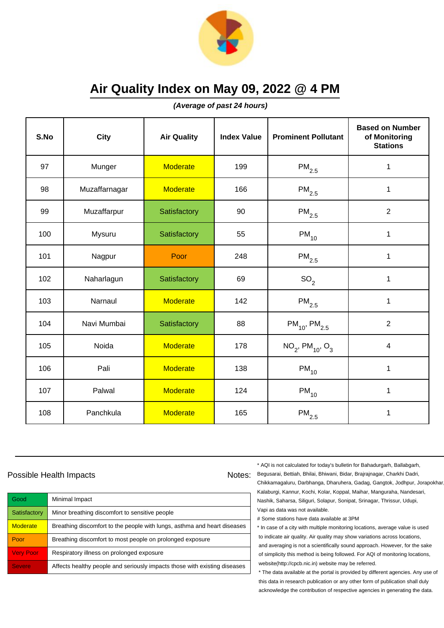

**(Average of past 24 hours)**

| S.No | <b>City</b>   | <b>Air Quality</b> | <b>Index Value</b> | <b>Prominent Pollutant</b>                 | <b>Based on Number</b><br>of Monitoring<br><b>Stations</b> |
|------|---------------|--------------------|--------------------|--------------------------------------------|------------------------------------------------------------|
| 97   | Munger        | <b>Moderate</b>    | 199                | $PM_{2.5}$                                 | 1                                                          |
| 98   | Muzaffarnagar | <b>Moderate</b>    | 166                | $PM_{2.5}$                                 | 1                                                          |
| 99   | Muzaffarpur   | Satisfactory       | 90                 | $\mathsf{PM}_{2.5}$                        | $\overline{2}$                                             |
| 100  | Mysuru        | Satisfactory       | 55                 | $PM_{10}$                                  | 1                                                          |
| 101  | Nagpur        | Poor               | 248                | $PM_{2.5}$                                 | $\mathbf 1$                                                |
| 102  | Naharlagun    | Satisfactory       | 69                 | SO <sub>2</sub>                            | 1                                                          |
| 103  | Narnaul       | <b>Moderate</b>    | 142                | $\mathsf{PM}_{2.5}$                        | 1                                                          |
| 104  | Navi Mumbai   | Satisfactory       | 88                 | $PM_{10}$ , $PM_{2.5}$                     | $\overline{2}$                                             |
| 105  | Noida         | <b>Moderate</b>    | 178                | $NO_2$ , PM <sub>10</sub> , O <sub>3</sub> | $\overline{\mathbf{4}}$                                    |
| 106  | Pali          | <b>Moderate</b>    | 138                | $\mathsf{PM}_{10}$                         | 1                                                          |
| 107  | Palwal        | <b>Moderate</b>    | 124                | $PM_{10}$                                  | 1                                                          |
| 108  | Panchkula     | <b>Moderate</b>    | 165                | $\mathsf{PM}_{2.5}$                        | 1                                                          |

### Possible Health Impacts

| Good             | Minimal Impact                                                            |
|------------------|---------------------------------------------------------------------------|
| Satisfactory     | Minor breathing discomfort to sensitive people                            |
| <b>Moderate</b>  | Breathing discomfort to the people with lungs, asthma and heart diseases  |
| Poor             | Breathing discomfort to most people on prolonged exposure                 |
| <b>Very Poor</b> | Respiratory illness on prolonged exposure                                 |
| <b>Severe</b>    | Affects healthy people and seriously impacts those with existing diseases |

\* AQI is not calculated for today's bulletin for Bahadurgarh, Ballabgarh,

Notes: Begusarai, Bettiah, Bhilai, Bhiwani, Bidar, Brajrajnagar, Charkhi Dadri, Chikkamagaluru, Darbhanga, Dharuhera, Gadag, Gangtok, Jodhpur, Jorapokhar, Kalaburgi, Kannur, Kochi, Kolar, Koppal, Maihar, Manguraha, Nandesari, Nashik, Saharsa, Siliguri, Solapur, Sonipat, Srinagar, Thrissur, Udupi, Vapi as data was not available.

# Some stations have data available at 3PM

\* In case of a city with multiple monitoring locations, average value is used to indicate air quality. Air quality may show variations across locations, and averaging is not a scientifically sound approach. However, for the sake of simplicity this method is being followed. For AQI of monitoring locations, website(http://cpcb.nic.in) website may be referred.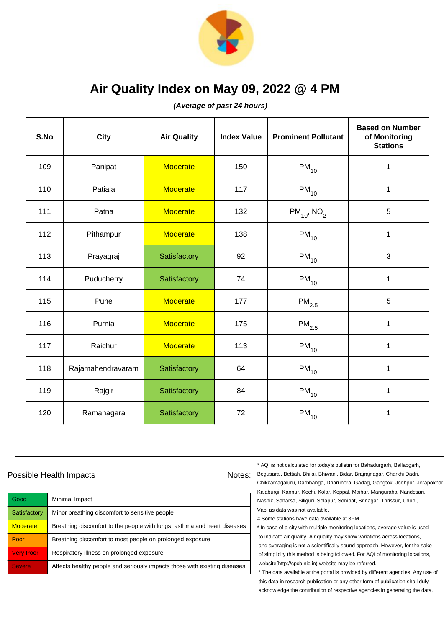

**(Average of past 24 hours)**

| S.No | City              | <b>Air Quality</b> | <b>Index Value</b> | <b>Prominent Pollutant</b>  | <b>Based on Number</b><br>of Monitoring<br><b>Stations</b> |
|------|-------------------|--------------------|--------------------|-----------------------------|------------------------------------------------------------|
| 109  | Panipat           | <b>Moderate</b>    | 150                | $PM_{10}$                   | 1                                                          |
| 110  | Patiala           | <b>Moderate</b>    | 117                | $PM_{10}$                   | 1                                                          |
| 111  | Patna             | <b>Moderate</b>    | 132                | $PM_{10}$ , NO <sub>2</sub> | 5                                                          |
| 112  | Pithampur         | <b>Moderate</b>    | 138                | $PM_{10}$                   | 1                                                          |
| 113  | Prayagraj         | Satisfactory       | 92                 | $PM_{10}$                   | $\mathbf{3}$                                               |
| 114  | Puducherry        | Satisfactory       | 74                 | $PM_{10}$                   | 1                                                          |
| 115  | Pune              | <b>Moderate</b>    | 177                | $\mathsf{PM}_{2.5}$         | $\overline{5}$                                             |
| 116  | Purnia            | <b>Moderate</b>    | 175                | $\mathsf{PM}_{2.5}$         | 1                                                          |
| 117  | Raichur           | <b>Moderate</b>    | 113                | $PM_{10}$                   | 1                                                          |
| 118  | Rajamahendravaram | Satisfactory       | 64                 | $PM_{10}$                   | 1                                                          |
| 119  | Rajgir            | Satisfactory       | 84                 | $PM_{10}$                   | 1                                                          |
| 120  | Ramanagara        | Satisfactory       | 72                 | $PM_{10}$                   | 1                                                          |

### Possible Health Impacts

| Good             | Minimal Impact                                                            |
|------------------|---------------------------------------------------------------------------|
| Satisfactory     | Minor breathing discomfort to sensitive people                            |
| <b>Moderate</b>  | Breathing discomfort to the people with lungs, asthma and heart diseases  |
| Poor             | Breathing discomfort to most people on prolonged exposure                 |
| <b>Very Poor</b> | Respiratory illness on prolonged exposure                                 |
| <b>Severe</b>    | Affects healthy people and seriously impacts those with existing diseases |

\* AQI is not calculated for today's bulletin for Bahadurgarh, Ballabgarh,

Notes: Begusarai, Bettiah, Bhilai, Bhiwani, Bidar, Brajrajnagar, Charkhi Dadri, Chikkamagaluru, Darbhanga, Dharuhera, Gadag, Gangtok, Jodhpur, Jorapokhar, Kalaburgi, Kannur, Kochi, Kolar, Koppal, Maihar, Manguraha, Nandesari, Nashik, Saharsa, Siliguri, Solapur, Sonipat, Srinagar, Thrissur, Udupi, Vapi as data was not available.

# Some stations have data available at 3PM

\* In case of a city with multiple monitoring locations, average value is used to indicate air quality. Air quality may show variations across locations, and averaging is not a scientifically sound approach. However, for the sake of simplicity this method is being followed. For AQI of monitoring locations, website(http://cpcb.nic.in) website may be referred.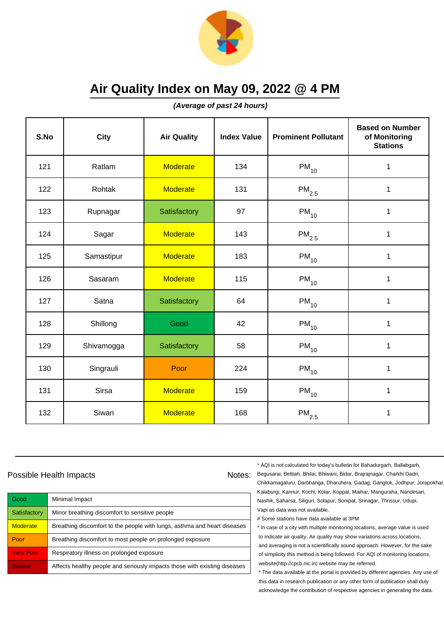

**(Average of past 24 hours)**

| S.No | City       | <b>Air Quality</b> | <b>Index Value</b> | <b>Prominent Pollutant</b> | <b>Based on Number</b><br>of Monitoring<br><b>Stations</b> |
|------|------------|--------------------|--------------------|----------------------------|------------------------------------------------------------|
| 121  | Ratlam     | <b>Moderate</b>    | 134                | $PM_{10}$                  | 1                                                          |
| 122  | Rohtak     | <b>Moderate</b>    | 131                | $\mathsf{PM}_{2.5}$        | 1                                                          |
| 123  | Rupnagar   | Satisfactory       | 97                 | $PM_{10}$                  | 1                                                          |
| 124  | Sagar      | <b>Moderate</b>    | 143                | $\mathsf{PM}_{2.5}$        | $\mathbf 1$                                                |
| 125  | Samastipur | <b>Moderate</b>    | 183                | $PM_{10}$                  | $\mathbf 1$                                                |
| 126  | Sasaram    | <b>Moderate</b>    | 115                | $PM_{10}$                  | 1                                                          |
| 127  | Satna      | Satisfactory       | 64                 | $PM_{10}$                  | 1                                                          |
| 128  | Shillong   | Good               | 42                 | $PM_{10}$                  | 1                                                          |
| 129  | Shivamogga | Satisfactory       | 58                 | $PM_{10}$                  | $\mathbf 1$                                                |
| 130  | Singrauli  | Poor               | 224                | $PM_{10}$                  | 1                                                          |
| 131  | Sirsa      | <b>Moderate</b>    | 159                | $PM_{10}$                  | 1                                                          |
| 132  | Siwan      | <b>Moderate</b>    | 168                | $\mathsf{PM}_{2.5}$        | 1                                                          |

### Possible Health Impacts

| Good             | Minimal Impact                                                            |
|------------------|---------------------------------------------------------------------------|
| Satisfactory     | Minor breathing discomfort to sensitive people                            |
| <b>Moderate</b>  | Breathing discomfort to the people with lungs, asthma and heart diseases  |
| Poor             | Breathing discomfort to most people on prolonged exposure                 |
| <b>Very Poor</b> | Respiratory illness on prolonged exposure                                 |
| <b>Severe</b>    | Affects healthy people and seriously impacts those with existing diseases |

\* AQI is not calculated for today's bulletin for Bahadurgarh, Ballabgarh,

Notes: Begusarai, Bettiah, Bhilai, Bhiwani, Bidar, Brajrajnagar, Charkhi Dadri, Chikkamagaluru, Darbhanga, Dharuhera, Gadag, Gangtok, Jodhpur, Jorapokhar, Kalaburgi, Kannur, Kochi, Kolar, Koppal, Maihar, Manguraha, Nandesari, Nashik, Saharsa, Siliguri, Solapur, Sonipat, Srinagar, Thrissur, Udupi, Vapi as data was not available.

# Some stations have data available at 3PM

\* In case of a city with multiple monitoring locations, average value is used to indicate air quality. Air quality may show variations across locations, and averaging is not a scientifically sound approach. However, for the sake of simplicity this method is being followed. For AQI of monitoring locations, website(http://cpcb.nic.in) website may be referred.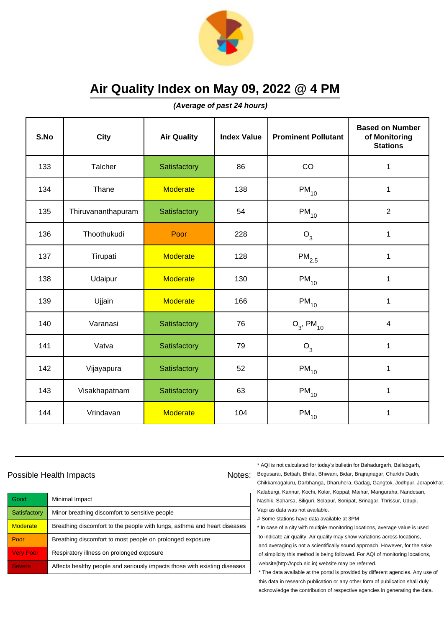

**(Average of past 24 hours)**

| S.No | <b>City</b>        | <b>Air Quality</b> | <b>Index Value</b> | <b>Prominent Pollutant</b> | <b>Based on Number</b><br>of Monitoring<br><b>Stations</b> |
|------|--------------------|--------------------|--------------------|----------------------------|------------------------------------------------------------|
| 133  | Talcher            | Satisfactory       | 86                 | CO                         | 1                                                          |
| 134  | Thane              | <b>Moderate</b>    | 138                | $PM_{10}$                  | $\mathbf 1$                                                |
| 135  | Thiruvananthapuram | Satisfactory       | 54                 | $PM_{10}$                  | $\overline{2}$                                             |
| 136  | Thoothukudi        | Poor               | 228                | O <sub>3</sub>             | 1                                                          |
| 137  | Tirupati           | <b>Moderate</b>    | 128                | $\mathsf{PM}_{2.5}$        | $\mathbf{1}$                                               |
| 138  | Udaipur            | <b>Moderate</b>    | 130                | $PM_{10}$                  | 1                                                          |
| 139  | Ujjain             | <b>Moderate</b>    | 166                | $PM_{10}$                  | $\mathbf{1}$                                               |
| 140  | Varanasi           | Satisfactory       | 76                 | $O_3$ , PM <sub>10</sub>   | 4                                                          |
| 141  | Vatva              | Satisfactory       | 79                 | $O_3$                      | $\mathbf 1$                                                |
| 142  | Vijayapura         | Satisfactory       | 52                 | $\mathsf{PM}_{10}$         | 1                                                          |
| 143  | Visakhapatnam      | Satisfactory       | 63                 | $PM_{10}$                  | $\mathbf 1$                                                |
| 144  | Vrindavan          | <b>Moderate</b>    | 104                | $PM_{10}$                  | 1                                                          |

### Possible Health Impacts

| Good                | Minimal Impact                                                            |
|---------------------|---------------------------------------------------------------------------|
| Satisfactory        | Minor breathing discomfort to sensitive people                            |
| <b>Moderate</b>     | Breathing discomfort to the people with lungs, asthma and heart diseases  |
| Poor                | Breathing discomfort to most people on prolonged exposure                 |
| <b>Very Poor</b>    | Respiratory illness on prolonged exposure                                 |
| Severe <sup>'</sup> | Affects healthy people and seriously impacts those with existing diseases |

\* AQI is not calculated for today's bulletin for Bahadurgarh, Ballabgarh,

Notes: Begusarai, Bettiah, Bhilai, Bhiwani, Bidar, Brajrajnagar, Charkhi Dadri, Chikkamagaluru, Darbhanga, Dharuhera, Gadag, Gangtok, Jodhpur, Jorapokhar, Kalaburgi, Kannur, Kochi, Kolar, Koppal, Maihar, Manguraha, Nandesari, Nashik, Saharsa, Siliguri, Solapur, Sonipat, Srinagar, Thrissur, Udupi, Vapi as data was not available.

# Some stations have data available at 3PM

\* In case of a city with multiple monitoring locations, average value is used to indicate air quality. Air quality may show variations across locations, and averaging is not a scientifically sound approach. However, for the sake of simplicity this method is being followed. For AQI of monitoring locations, website(http://cpcb.nic.in) website may be referred.